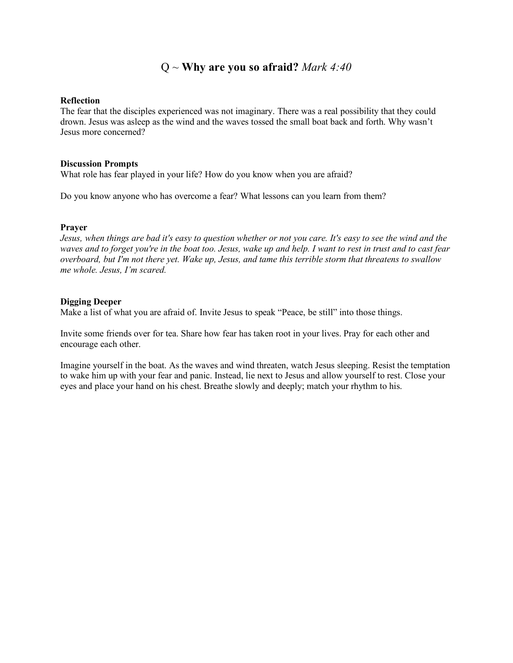## Q ~ **Why are you so afraid?** *Mark 4:40*

#### **Reflection**

The fear that the disciples experienced was not imaginary. There was a real possibility that they could drown. Jesus was asleep as the wind and the waves tossed the small boat back and forth. Why wasn't Jesus more concerned?

### **Discussion Prompts**

What role has fear played in your life? How do you know when you are afraid?

Do you know anyone who has overcome a fear? What lessons can you learn from them?

### **Prayer**

*Jesus, when things are bad it's easy to question whether or not you care. It's easy to see the wind and the waves and to forget you're in the boat too. Jesus, wake up and help. I want to rest in trust and to cast fear overboard, but I'm not there yet. Wake up, Jesus, and tame this terrible storm that threatens to swallow me whole. Jesus, I'm scared.* 

### **Digging Deeper**

Make a list of what you are afraid of. Invite Jesus to speak "Peace, be still" into those things.

Invite some friends over for tea. Share how fear has taken root in your lives. Pray for each other and encourage each other.

Imagine yourself in the boat. As the waves and wind threaten, watch Jesus sleeping. Resist the temptation to wake him up with your fear and panic. Instead, lie next to Jesus and allow yourself to rest. Close your eyes and place your hand on his chest. Breathe slowly and deeply; match your rhythm to his.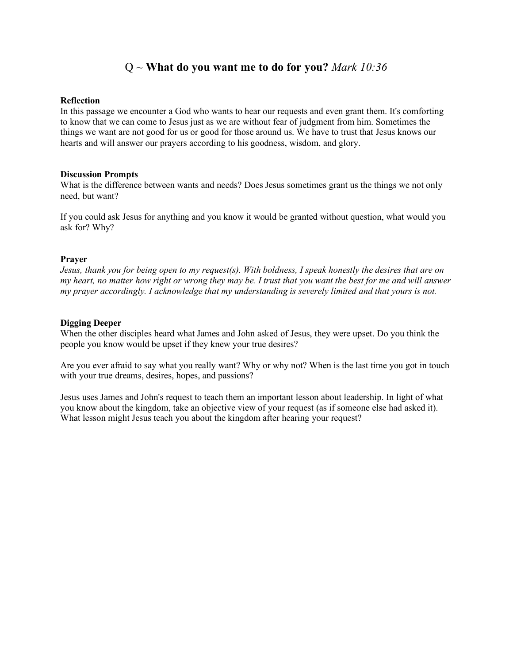## Q ~ **What do you want me to do for you?** *Mark 10:36*

### **Reflection**

In this passage we encounter a God who wants to hear our requests and even grant them. It's comforting to know that we can come to Jesus just as we are without fear of judgment from him. Sometimes the things we want are not good for us or good for those around us. We have to trust that Jesus knows our hearts and will answer our prayers according to his goodness, wisdom, and glory.

### **Discussion Prompts**

What is the difference between wants and needs? Does Jesus sometimes grant us the things we not only need, but want?

If you could ask Jesus for anything and you know it would be granted without question, what would you ask for? Why?

### **Prayer**

*Jesus, thank you for being open to my request(s). With boldness, I speak honestly the desires that are on my heart, no matter how right or wrong they may be. I trust that you want the best for me and will answer my prayer accordingly. I acknowledge that my understanding is severely limited and that yours is not.* 

### **Digging Deeper**

When the other disciples heard what James and John asked of Jesus, they were upset. Do you think the people you know would be upset if they knew your true desires?

Are you ever afraid to say what you really want? Why or why not? When is the last time you got in touch with your true dreams, desires, hopes, and passions?

Jesus uses James and John's request to teach them an important lesson about leadership. In light of what you know about the kingdom, take an objective view of your request (as if someone else had asked it). What lesson might Jesus teach you about the kingdom after hearing your request?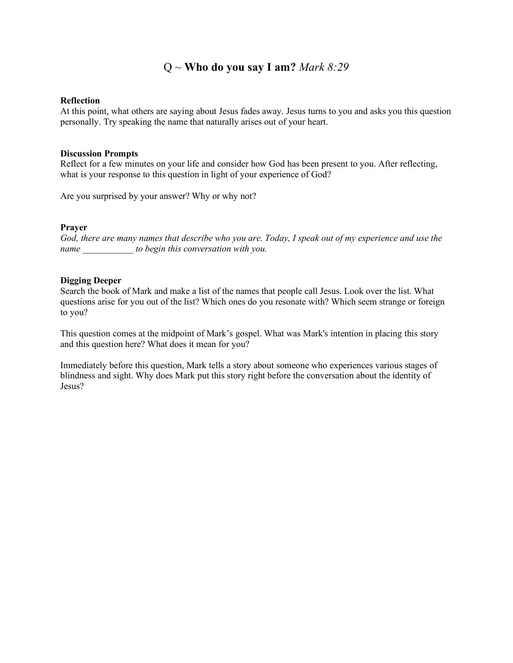## Q ~ **Who do you say I am?** *Mark 8:29*

#### **Reflection**

At this point, what others are saying about Jesus fades away. Jesus turns to you and asks you this question personally. Try speaking the name that naturally arises out of your heart.

### **Discussion Prompts**

Reflect for a few minutes on your life and consider how God has been present to you. After reflecting, what is your response to this question in light of your experience of God?

Are you surprised by your answer? Why or why not?

### **Prayer**

*God, there are many names that describe who you are. Today, I speak out of my experience and use the name \_\_\_\_\_\_\_\_\_\_\_ to begin this conversation with you.*

### **Digging Deeper**

Search the book of Mark and make a list of the names that people call Jesus. Look over the list. What questions arise for you out of the list? Which ones do you resonate with? Which seem strange or foreign to you?

This question comes at the midpoint of Mark's gospel. What was Mark's intention in placing this story and this question here? What does it mean for you?

Immediately before this question, Mark tells a story about someone who experiences various stages of blindness and sight. Why does Mark put this story right before the conversation about the identity of Jesus?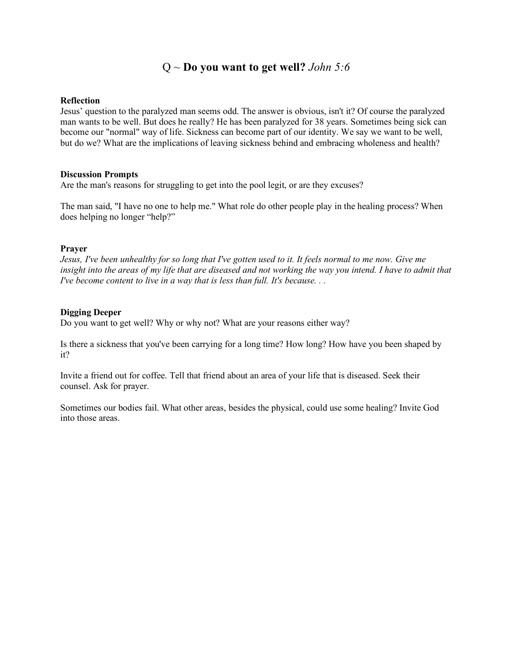## Q ~ **Do you want to get well?** *John 5:6*

### **Reflection**

Jesus' question to the paralyzed man seems odd. The answer is obvious, isn't it? Of course the paralyzed man wants to be well. But does he really? He has been paralyzed for 38 years. Sometimes being sick can become our "normal" way of life. Sickness can become part of our identity. We say we want to be well, but do we? What are the implications of leaving sickness behind and embracing wholeness and health?

### **Discussion Prompts**

Are the man's reasons for struggling to get into the pool legit, or are they excuses?

The man said, "I have no one to help me." What role do other people play in the healing process? When does helping no longer "help?"

## **Prayer**

*Jesus, I've been unhealthy for so long that I've gotten used to it. It feels normal to me now. Give me insight into the areas of my life that are diseased and not working the way you intend. I have to admit that I've become content to live in a way that is less than full. It's because...* 

## **Digging Deeper**

Do you want to get well? Why or why not? What are your reasons either way?

Is there a sickness that you've been carrying for a long time? How long? How have you been shaped by it?

Invite a friend out for coffee. Tell that friend about an area of your life that is diseased. Seek their counsel. Ask for prayer.

Sometimes our bodies fail. What other areas, besides the physical, could use some healing? Invite God into those areas.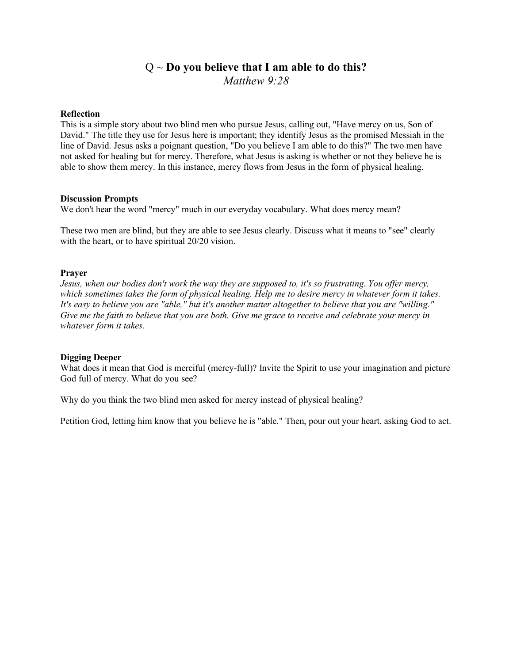# Q ~ **Do you believe that I am able to do this?** *Matthew 9:28*

### **Reflection**

This is a simple story about two blind men who pursue Jesus, calling out, "Have mercy on us, Son of David." The title they use for Jesus here is important; they identify Jesus as the promised Messiah in the line of David. Jesus asks a poignant question, "Do you believe I am able to do this?" The two men have not asked for healing but for mercy. Therefore, what Jesus is asking is whether or not they believe he is able to show them mercy. In this instance, mercy flows from Jesus in the form of physical healing.

### **Discussion Prompts**

We don't hear the word "mercy" much in our everyday vocabulary. What does mercy mean?

These two men are blind, but they are able to see Jesus clearly. Discuss what it means to "see" clearly with the heart, or to have spiritual 20/20 vision.

### **Prayer**

*Jesus, when our bodies don't work the way they are supposed to, it's so frustrating. You offer mercy, which sometimes takes the form of physical healing. Help me to desire mercy in whatever form it takes. It's easy to believe you are "able," but it's another matter altogether to believe that you are "willing." Give me the faith to believe that you are both. Give me grace to receive and celebrate your mercy in whatever form it takes.*

## **Digging Deeper**

What does it mean that God is merciful (mercy-full)? Invite the Spirit to use your imagination and picture God full of mercy. What do you see?

Why do you think the two blind men asked for mercy instead of physical healing?

Petition God, letting him know that you believe he is "able." Then, pour out your heart, asking God to act.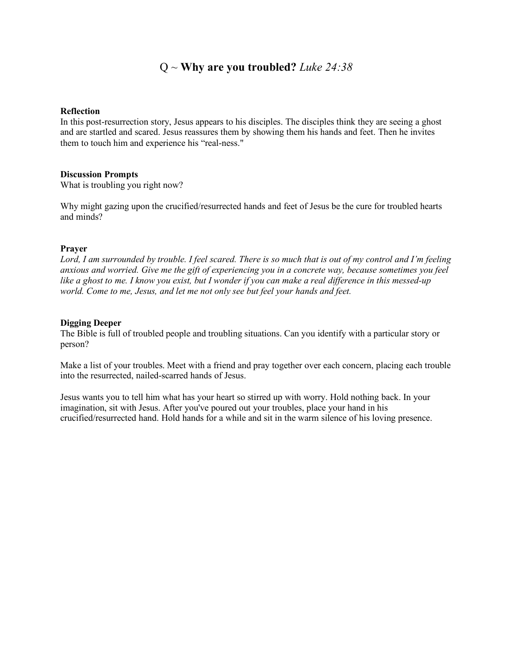## Q ~ **Why are you troubled?** *Luke 24:38*

### **Reflection**

In this post-resurrection story, Jesus appears to his disciples. The disciples think they are seeing a ghost and are startled and scared. Jesus reassures them by showing them his hands and feet. Then he invites them to touch him and experience his "real-ness."

### **Discussion Prompts**

What is troubling you right now?

Why might gazing upon the crucified/resurrected hands and feet of Jesus be the cure for troubled hearts and minds?

## **Prayer**

*Lord, I am surrounded by trouble. I feel scared. There is so much that is out of my control and I'm feeling anxious and worried. Give me the gift of experiencing you in a concrete way, because sometimes you feel like a ghost to me. I know you exist, but I wonder if you can make a real difference in this messed-up world. Come to me, Jesus, and let me not only see but feel your hands and feet.*

## **Digging Deeper**

The Bible is full of troubled people and troubling situations. Can you identify with a particular story or person?

Make a list of your troubles. Meet with a friend and pray together over each concern, placing each trouble into the resurrected, nailed-scarred hands of Jesus.

Jesus wants you to tell him what has your heart so stirred up with worry. Hold nothing back. In your imagination, sit with Jesus. After you've poured out your troubles, place your hand in his crucified/resurrected hand. Hold hands for a while and sit in the warm silence of his loving presence.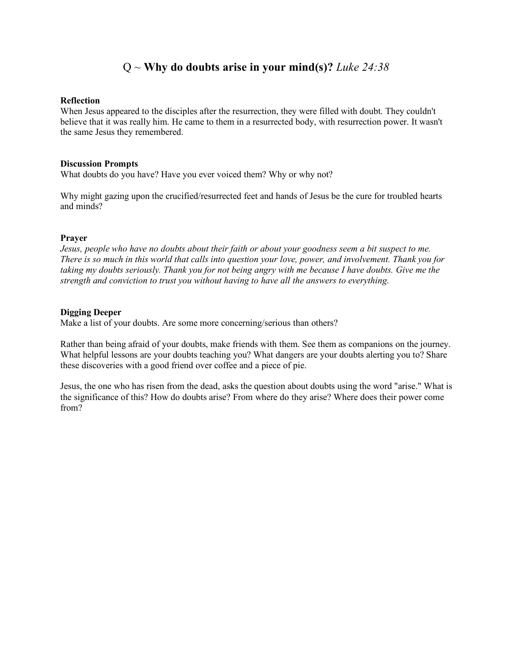## Q ~ **Why do doubts arise in your mind(s)?** *Luke 24:38*

#### **Reflection**

When Jesus appeared to the disciples after the resurrection, they were filled with doubt. They couldn't believe that it was really him. He came to them in a resurrected body, with resurrection power. It wasn't the same Jesus they remembered.

#### **Discussion Prompts**

What doubts do you have? Have you ever voiced them? Why or why not?

Why might gazing upon the crucified/resurrected feet and hands of Jesus be the cure for troubled hearts and minds?

### **Prayer**

Jesus, people who have no doubts about their faith or about your goodness seem a bit suspect to me. *There is so much in this world that calls into question your love, power, and involvement. Thank you for taking my doubts seriously. Thank you for not being angry with me because I have doubts. Give me the strength and conviction to trust you without having to have all the answers to everything.* 

### **Digging Deeper**

Make a list of your doubts. Are some more concerning/serious than others?

Rather than being afraid of your doubts, make friends with them. See them as companions on the journey. What helpful lessons are your doubts teaching you? What dangers are your doubts alerting you to? Share these discoveries with a good friend over coffee and a piece of pie.

Jesus, the one who has risen from the dead, asks the question about doubts using the word "arise." What is the significance of this? How do doubts arise? From where do they arise? Where does their power come from?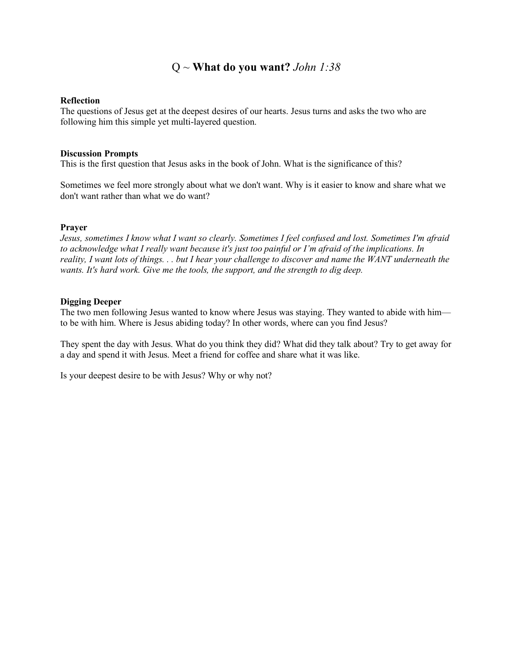## Q ~ **What do you want?** *John 1:38*

### **Reflection**

The questions of Jesus get at the deepest desires of our hearts. Jesus turns and asks the two who are following him this simple yet multi-layered question.

#### **Discussion Prompts**

This is the first question that Jesus asks in the book of John. What is the significance of this?

Sometimes we feel more strongly about what we don't want. Why is it easier to know and share what we don't want rather than what we do want?

### **Prayer**

*Jesus, sometimes I know what I want so clearly. Sometimes I feel confused and lost. Sometimes I'm afraid to acknowledge what I really want because it's just too painful or I'm afraid of the implications. In reality, I want lots of things. . . but I hear your challenge to discover and name the WANT underneath the wants. It's hard work. Give me the tools, the support, and the strength to dig deep.*

### **Digging Deeper**

The two men following Jesus wanted to know where Jesus was staying. They wanted to abide with him to be with him. Where is Jesus abiding today? In other words, where can you find Jesus?

They spent the day with Jesus. What do you think they did? What did they talk about? Try to get away for a day and spend it with Jesus. Meet a friend for coffee and share what it was like.

Is your deepest desire to be with Jesus? Why or why not?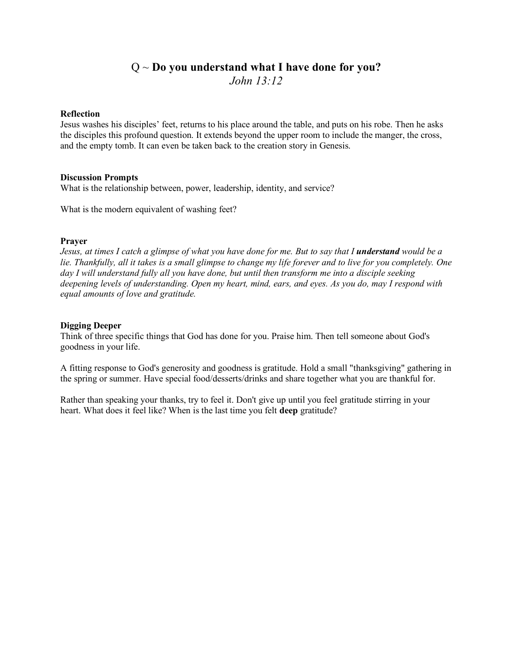## Q ~ **Do you understand what I have done for you?** *John 13:12*

### **Reflection**

Jesus washes his disciples' feet, returns to his place around the table, and puts on his robe. Then he asks the disciples this profound question. It extends beyond the upper room to include the manger, the cross, and the empty tomb. It can even be taken back to the creation story in Genesis.

### **Discussion Prompts**

What is the relationship between, power, leadership, identity, and service?

What is the modern equivalent of washing feet?

### **Prayer**

*Jesus, at times I catch a glimpse of what you have done for me. But to say that I understand would be a lie. Thankfully, all it takes is a small glimpse to change my life forever and to live for you completely. One day I will understand fully all you have done, but until then transform me into a disciple seeking deepening levels of understanding. Open my heart, mind, ears, and eyes. As you do, may I respond with equal amounts of love and gratitude.*

### **Digging Deeper**

Think of three specific things that God has done for you. Praise him. Then tell someone about God's goodness in your life.

A fitting response to God's generosity and goodness is gratitude. Hold a small "thanksgiving" gathering in the spring or summer. Have special food/desserts/drinks and share together what you are thankful for.

Rather than speaking your thanks, try to feel it. Don't give up until you feel gratitude stirring in your heart. What does it feel like? When is the last time you felt **deep** gratitude?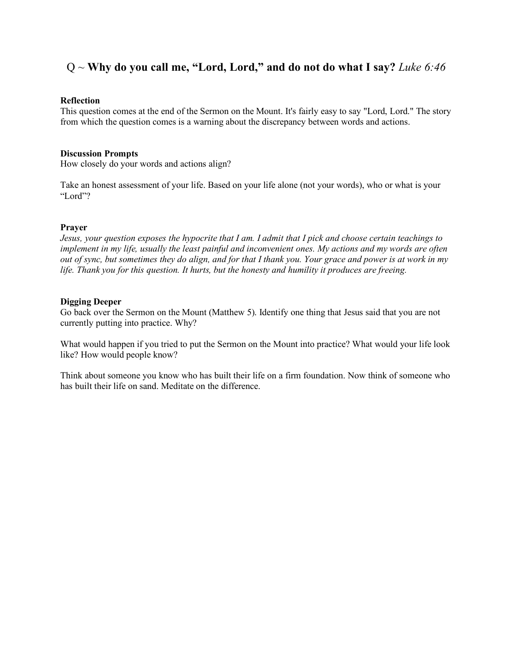## Q ~ **Why do you call me, "Lord, Lord," and do not do what I say?** *Luke 6:46*

#### **Reflection**

This question comes at the end of the Sermon on the Mount. It's fairly easy to say "Lord, Lord." The story from which the question comes is a warning about the discrepancy between words and actions.

#### **Discussion Prompts**

How closely do your words and actions align?

Take an honest assessment of your life. Based on your life alone (not your words), who or what is your "Lord"?

### **Prayer**

*Jesus, your question exposes the hypocrite that I am. I admit that I pick and choose certain teachings to implement in my life, usually the least painful and inconvenient ones. My actions and my words are often out of sync, but sometimes they do align, and for that I thank you. Your grace and power is at work in my life. Thank you for this question. It hurts, but the honesty and humility it produces are freeing.* 

### **Digging Deeper**

Go back over the Sermon on the Mount (Matthew 5). Identify one thing that Jesus said that you are not currently putting into practice. Why?

What would happen if you tried to put the Sermon on the Mount into practice? What would your life look like? How would people know?

Think about someone you know who has built their life on a firm foundation. Now think of someone who has built their life on sand. Meditate on the difference.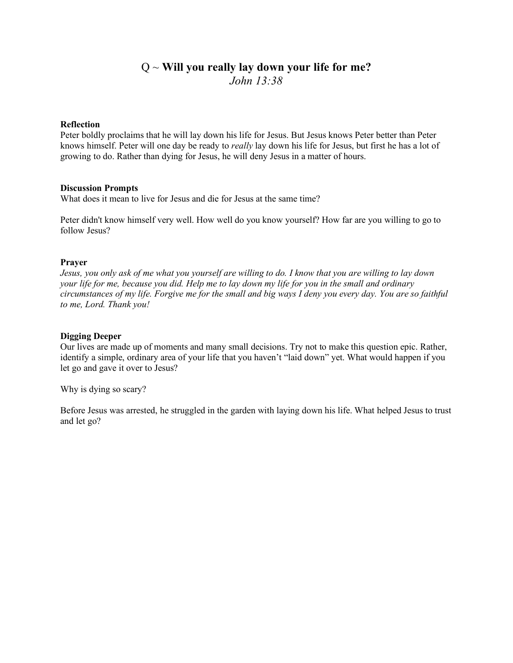# Q ~ **Will you really lay down your life for me?**  *John 13:38*

## **Reflection**

Peter boldly proclaims that he will lay down his life for Jesus. But Jesus knows Peter better than Peter knows himself. Peter will one day be ready to *really* lay down his life for Jesus, but first he has a lot of growing to do. Rather than dying for Jesus, he will deny Jesus in a matter of hours.

### **Discussion Prompts**

What does it mean to live for Jesus and die for Jesus at the same time?

Peter didn't know himself very well. How well do you know yourself? How far are you willing to go to follow Jesus?

## **Prayer**

*Jesus, you only ask of me what you yourself are willing to do. I know that you are willing to lay down your life for me, because you did. Help me to lay down my life for you in the small and ordinary circumstances of my life. Forgive me for the small and big ways I deny you every day. You are so faithful to me, Lord. Thank you!* 

### **Digging Deeper**

Our lives are made up of moments and many small decisions. Try not to make this question epic. Rather, identify a simple, ordinary area of your life that you haven't "laid down" yet. What would happen if you let go and gave it over to Jesus?

Why is dying so scary?

Before Jesus was arrested, he struggled in the garden with laying down his life. What helped Jesus to trust and let go?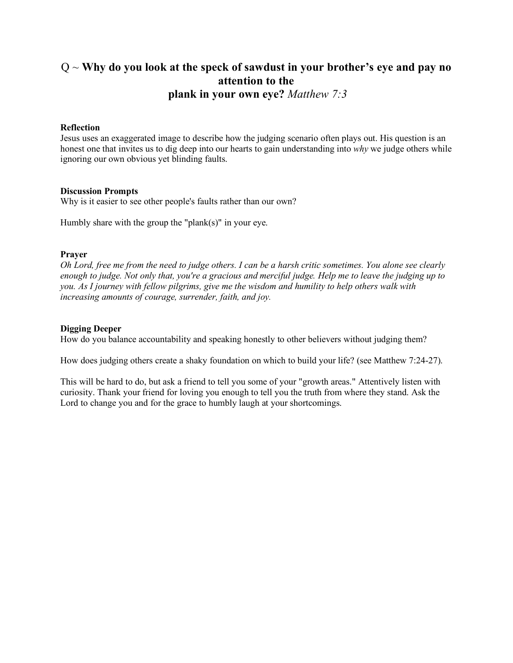# Q ~ **Why do you look at the speck of sawdust in your brother's eye and pay no attention to the plank in your own eye?** *Matthew 7:3*

### **Reflection**

Jesus uses an exaggerated image to describe how the judging scenario often plays out. His question is an honest one that invites us to dig deep into our hearts to gain understanding into *why* we judge others while ignoring our own obvious yet blinding faults.

### **Discussion Prompts**

Why is it easier to see other people's faults rather than our own?

Humbly share with the group the "plank $(s)$ " in your eye.

### **Prayer**

*Oh Lord, free me from the need to judge others. I can be a harsh critic sometimes. You alone see clearly enough to judge. Not only that, you're a gracious and merciful judge. Help me to leave the judging up to you. As I journey with fellow pilgrims, give me the wisdom and humility to help others walk with increasing amounts of courage, surrender, faith, and joy.* 

### **Digging Deeper**

How do you balance accountability and speaking honestly to other believers without judging them?

How does judging others create a shaky foundation on which to build your life? (see Matthew 7:24-27).

This will be hard to do, but ask a friend to tell you some of your "growth areas." Attentively listen with curiosity. Thank your friend for loving you enough to tell you the truth from where they stand. Ask the Lord to change you and for the grace to humbly laugh at your shortcomings.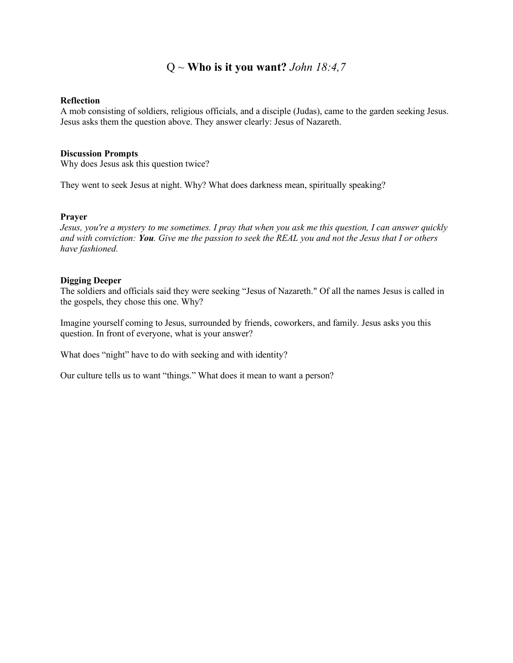## Q ~ **Who is it you want?** *John 18:4,7*

#### **Reflection**

A mob consisting of soldiers, religious officials, and a disciple (Judas), came to the garden seeking Jesus. Jesus asks them the question above. They answer clearly: Jesus of Nazareth.

### **Discussion Prompts**

Why does Jesus ask this question twice?

They went to seek Jesus at night. Why? What does darkness mean, spiritually speaking?

### **Prayer**

*Jesus, you're a mystery to me sometimes. I pray that when you ask me this question, I can answer quickly and with conviction: You. Give me the passion to seek the REAL you and not the Jesus that I or others have fashioned.*

### **Digging Deeper**

The soldiers and officials said they were seeking "Jesus of Nazareth." Of all the names Jesus is called in the gospels, they chose this one. Why?

Imagine yourself coming to Jesus, surrounded by friends, coworkers, and family. Jesus asks you this question. In front of everyone, what is your answer?

What does "night" have to do with seeking and with identity?

Our culture tells us to want "things." What does it mean to want a person?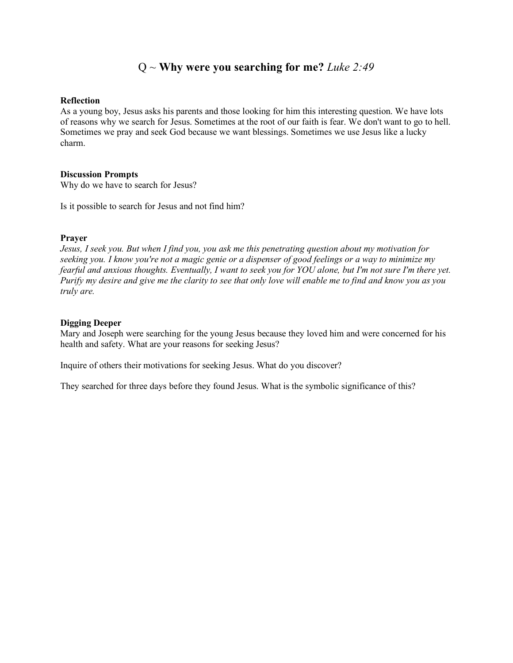## Q ~ **Why were you searching for me?** *Luke 2:49*

#### **Reflection**

As a young boy, Jesus asks his parents and those looking for him this interesting question. We have lots of reasons why we search for Jesus. Sometimes at the root of our faith is fear. We don't want to go to hell. Sometimes we pray and seek God because we want blessings. Sometimes we use Jesus like a lucky charm.

### **Discussion Prompts**

Why do we have to search for Jesus?

Is it possible to search for Jesus and not find him?

### **Prayer**

*Jesus, I seek you. But when I find you, you ask me this penetrating question about my motivation for seeking you. I know you're not a magic genie or a dispenser of good feelings or a way to minimize my fearful and anxious thoughts. Eventually, I want to seek you for YOU alone, but I'm not sure I'm there yet. Purify my desire and give me the clarity to see that only love will enable me to find and know you as you truly are.* 

### **Digging Deeper**

Mary and Joseph were searching for the young Jesus because they loved him and were concerned for his health and safety. What are your reasons for seeking Jesus?

Inquire of others their motivations for seeking Jesus. What do you discover?

They searched for three days before they found Jesus. What is the symbolic significance of this?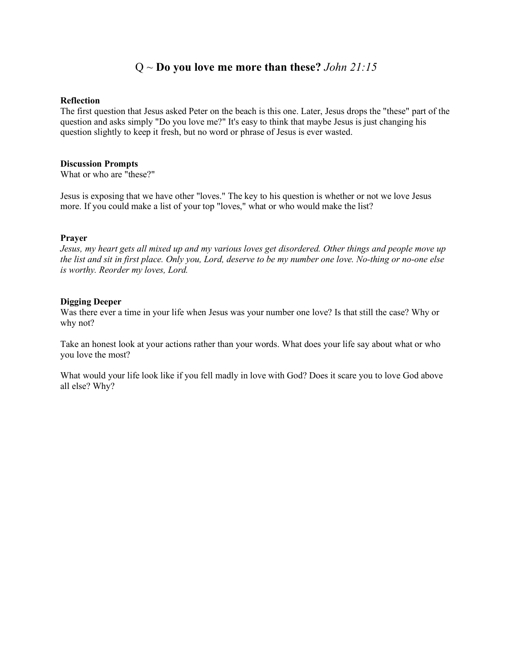## Q ~ **Do you love me more than these?** *John 21:15*

#### **Reflection**

The first question that Jesus asked Peter on the beach is this one. Later, Jesus drops the "these" part of the question and asks simply "Do you love me?" It's easy to think that maybe Jesus is just changing his question slightly to keep it fresh, but no word or phrase of Jesus is ever wasted.

### **Discussion Prompts**

What or who are "these?"

Jesus is exposing that we have other "loves." The key to his question is whether or not we love Jesus more. If you could make a list of your top "loves," what or who would make the list?

#### **Prayer**

*Jesus, my heart gets all mixed up and my various loves get disordered. Other things and people move up the list and sit in first place. Only you, Lord, deserve to be my number one love. No-thing or no-one else is worthy. Reorder my loves, Lord.* 

#### **Digging Deeper**

Was there ever a time in your life when Jesus was your number one love? Is that still the case? Why or why not?

Take an honest look at your actions rather than your words. What does your life say about what or who you love the most?

What would your life look like if you fell madly in love with God? Does it scare you to love God above all else? Why?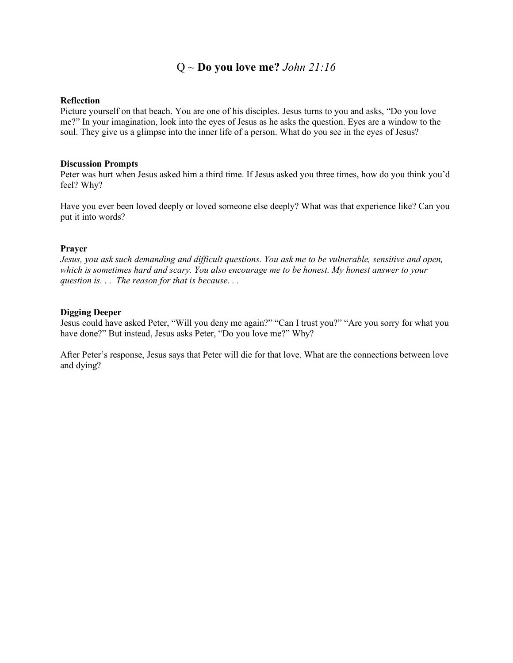## Q ~ **Do you love me?** *John 21:16*

### **Reflection**

Picture yourself on that beach. You are one of his disciples. Jesus turns to you and asks, "Do you love me?" In your imagination, look into the eyes of Jesus as he asks the question. Eyes are a window to the soul. They give us a glimpse into the inner life of a person. What do you see in the eyes of Jesus?

#### **Discussion Prompts**

Peter was hurt when Jesus asked him a third time. If Jesus asked you three times, how do you think you'd feel? Why?

Have you ever been loved deeply or loved someone else deeply? What was that experience like? Can you put it into words?

## **Prayer**

*Jesus, you ask such demanding and difficult questions. You ask me to be vulnerable, sensitive and open, which is sometimes hard and scary. You also encourage me to be honest. My honest answer to your question is. . . The reason for that is because. . .* 

### **Digging Deeper**

Jesus could have asked Peter, "Will you deny me again?" "Can I trust you?" "Are you sorry for what you have done?" But instead, Jesus asks Peter, "Do you love me?" Why?

After Peter's response, Jesus says that Peter will die for that love. What are the connections between love and dying?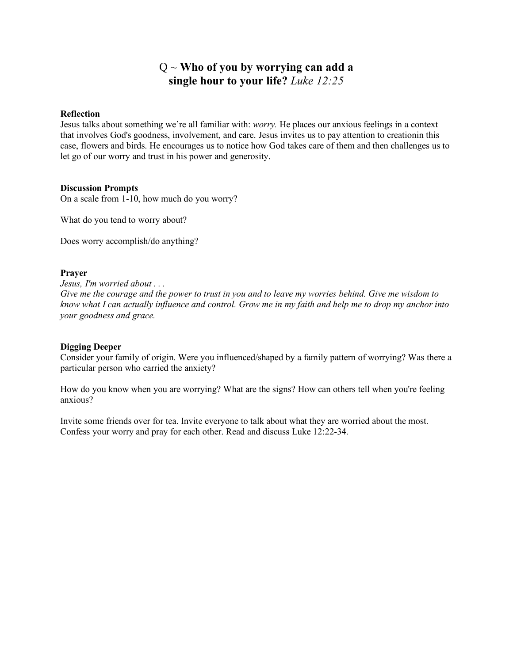# Q ~ **Who of you by worrying can add a single hour to your life?** *Luke 12:25*

### **Reflection**

Jesus talks about something we're all familiar with: *worry.* He places our anxious feelings in a context that involves God's goodness, involvement, and care. Jesus invites us to pay attention to creationin this case, flowers and birds. He encourages us to notice how God takes care of them and then challenges us to let go of our worry and trust in his power and generosity.

### **Discussion Prompts**

On a scale from 1-10, how much do you worry?

What do you tend to worry about?

Does worry accomplish/do anything?

### **Prayer**

*Jesus, I'm worried about . . .* 

*Give me the courage and the power to trust in you and to leave my worries behind. Give me wisdom to know what I can actually influence and control. Grow me in my faith and help me to drop my anchor into your goodness and grace.*

## **Digging Deeper**

Consider your family of origin. Were you influenced/shaped by a family pattern of worrying? Was there a particular person who carried the anxiety?

How do you know when you are worrying? What are the signs? How can others tell when you're feeling anxious?

Invite some friends over for tea. Invite everyone to talk about what they are worried about the most. Confess your worry and pray for each other. Read and discuss Luke 12:22-34.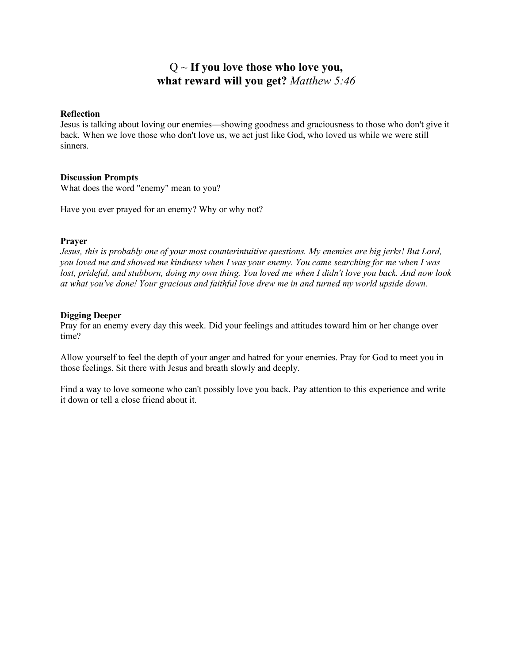# Q ~ **If you love those who love you, what reward will you get?** *Matthew 5:46*

#### **Reflection**

Jesus is talking about loving our enemies—showing goodness and graciousness to those who don't give it back. When we love those who don't love us, we act just like God, who loved us while we were still sinners.

### **Discussion Prompts**

What does the word "enemy" mean to you?

Have you ever prayed for an enemy? Why or why not?

### **Prayer**

*Jesus, this is probably one of your most counterintuitive questions. My enemies are big jerks! But Lord, you loved me and showed me kindness when I was your enemy. You came searching for me when I was lost, prideful, and stubborn, doing my own thing. You loved me when I didn't love you back. And now look at what you've done! Your gracious and faithful love drew me in and turned my world upside down.*

### **Digging Deeper**

Pray for an enemy every day this week. Did your feelings and attitudes toward him or her change over time?

Allow yourself to feel the depth of your anger and hatred for your enemies. Pray for God to meet you in those feelings. Sit there with Jesus and breath slowly and deeply.

Find a way to love someone who can't possibly love you back. Pay attention to this experience and write it down or tell a close friend about it.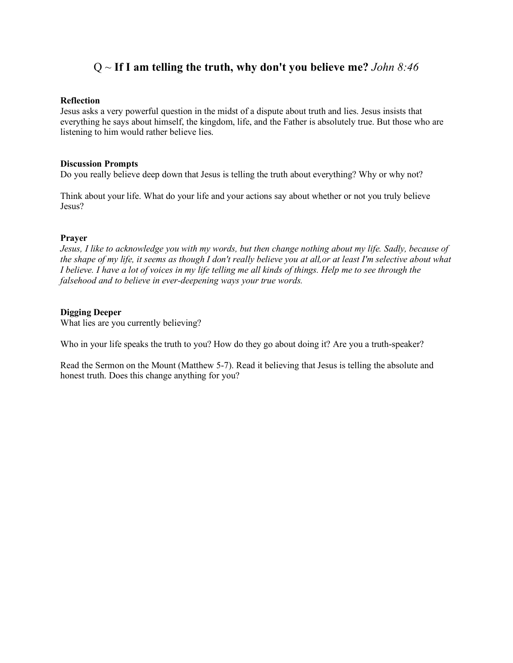## Q ~ **If I am telling the truth, why don't you believe me?** *John 8:46*

### **Reflection**

Jesus asks a very powerful question in the midst of a dispute about truth and lies. Jesus insists that everything he says about himself, the kingdom, life, and the Father is absolutely true. But those who are listening to him would rather believe lies.

### **Discussion Prompts**

Do you really believe deep down that Jesus is telling the truth about everything? Why or why not?

Think about your life. What do your life and your actions say about whether or not you truly believe Jesus?

### **Prayer**

*Jesus, I like to acknowledge you with my words, but then change nothing about my life. Sadly, because of the shape of my life, it seems as though I don't really believe you at all,or at least I'm selective about what I believe. I have a lot of voices in my life telling me all kinds of things. Help me to see through the falsehood and to believe in ever-deepening ways your true words.*

## **Digging Deeper**

What lies are you currently believing?

Who in your life speaks the truth to you? How do they go about doing it? Are you a truth-speaker?

Read the Sermon on the Mount (Matthew 5-7). Read it believing that Jesus is telling the absolute and honest truth. Does this change anything for you?